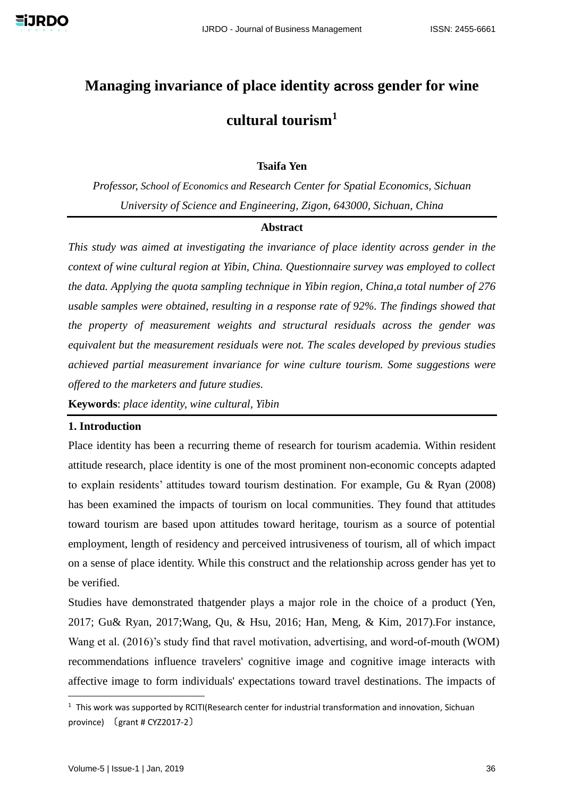# **Managing invariance of place identity** a**cross gender for wine cultural tourism<sup>1</sup>**

# **Tsaifa Yen**

*Professor, School of Economics and Research Center for Spatial Economics, Sichuan University of Science and Engineering, Zigon, 643000, Sichuan, China*

#### **Abstract**

*This study was aimed at investigating the invariance of place identity across gender in the context of wine cultural region at Yibin, China. Questionnaire survey was employed to collect the data. Applying the quota sampling technique in Yibin region, China,a total number of 276 usable samples were obtained, resulting in a response rate of 92%. The findings showed that the property of measurement weights and structural residuals across the gender was equivalent but the measurement residuals were not. The scales developed by previous studies achieved partial measurement invariance for wine culture tourism. Some suggestions were offered to the marketers and future studies.*

**Keywords**: *place identity, wine cultural, Yibin*

# **1. Introduction**

Place identity has been a recurring theme of research for tourism academia. Within resident attitude research, place identity is one of the most prominent non-economic concepts adapted to explain residents' attitudes toward tourism destination. For example, Gu & Ryan (2008) has been examined the impacts of tourism on local communities. They found that attitudes toward tourism are based upon attitudes toward heritage, tourism as a source of potential employment, length of residency and perceived intrusiveness of tourism, all of which impact on a sense of place identity. While this construct and the relationship across gender has yet to be verified.

Studies have demonstrated thatgender plays a major role in the choice of a product (Yen, 2017; Gu& Ryan, 2017;Wang, Qu, & Hsu, 2016; Han, Meng, & Kim, 2017).For instance, Wang et al. (2016)'s study find that ravel motivation, advertising, and word-of-mouth (WOM) recommendations influence travelers' cognitive image and cognitive image interacts with affective image to form individuals' expectations toward travel destinations. The impacts of

-

 $1$  This work was supported by RCITI(Research center for industrial transformation and innovation, Sichuan province) 〔grant # CYZ2017-2〕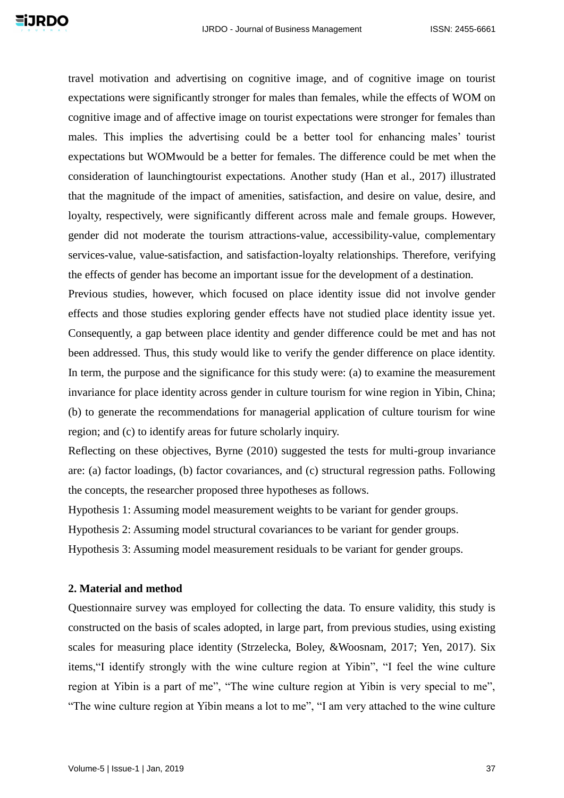travel motivation and advertising on cognitive image, and of cognitive image on tourist expectations were significantly stronger for males than females, while the effects of WOM on cognitive image and of affective image on tourist expectations were stronger for females than males. This implies the advertising could be a better tool for enhancing males' tourist expectations but WOMwould be a better for females. The difference could be met when the consideration of launchingtourist expectations. Another study (Han et al., 2017) illustrated that the magnitude of the impact of amenities, satisfaction, and desire on value, desire, and loyalty, respectively, were significantly different across male and female groups. However, gender did not moderate the tourism attractions-value, accessibility-value, complementary services-value, value-satisfaction, and satisfaction-loyalty relationships. Therefore, verifying the effects of gender has become an important issue for the development of a destination.

Previous studies, however, which focused on place identity issue did not involve gender effects and those studies exploring gender effects have not studied place identity issue yet. Consequently, a gap between place identity and gender difference could be met and has not been addressed. Thus, this study would like to verify the gender difference on place identity. In term, the purpose and the significance for this study were: (a) to examine the measurement invariance for place identity across gender in culture tourism for wine region in Yibin, China; (b) to generate the recommendations for managerial application of culture tourism for wine region; and (c) to identify areas for future scholarly inquiry.

Reflecting on these objectives, Byrne (2010) suggested the tests for multi-group invariance are: (a) factor loadings, (b) factor covariances, and (c) structural regression paths. Following the concepts, the researcher proposed three hypotheses as follows.

Hypothesis 1: Assuming model measurement weights to be variant for gender groups.

Hypothesis 2: Assuming model structural covariances to be variant for gender groups.

Hypothesis 3: Assuming model measurement residuals to be variant for gender groups.

## **2. Material and method**

Questionnaire survey was employed for collecting the data. To ensure validity, this study is constructed on the basis of scales adopted, in large part, from previous studies, using existing scales for measuring place identity (Strzelecka, Boley, &Woosnam, 2017; Yen, 2017). Six items,"I identify strongly with the wine culture region at Yibin", "I feel the wine culture region at Yibin is a part of me", "The wine culture region at Yibin is very special to me", "The wine culture region at Yibin means a lot to me", "I am very attached to the wine culture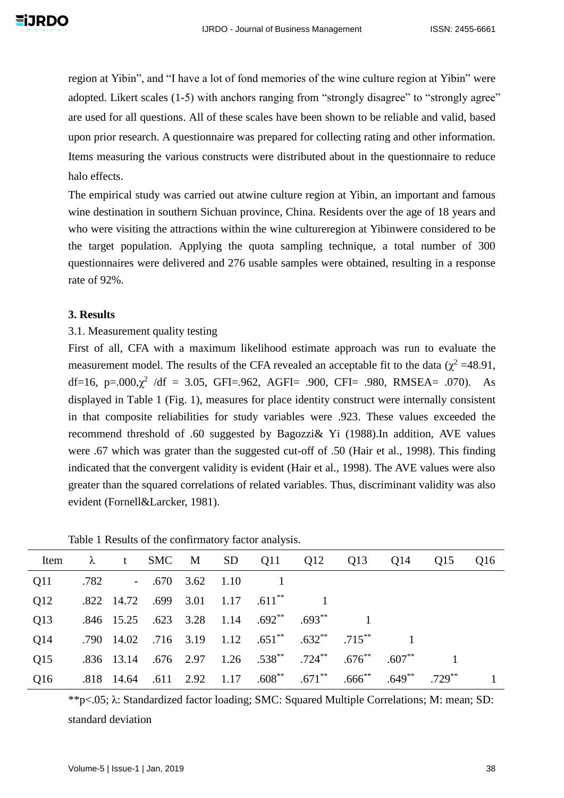region at Yibin", and "I have a lot of fond memories of the wine culture region at Yibin" were adopted. Likert scales (1-5) with anchors ranging from "strongly disagree" to "strongly agree" are used for all questions. All of these scales have been shown to be reliable and valid, based upon prior research. A questionnaire was prepared for collecting rating and other information. Items measuring the various constructs were distributed about in the questionnaire to reduce halo effects.

The empirical study was carried out atwine culture region at Yibin, an important and famous wine destination in southern Sichuan province, China. Residents over the age of 18 years and who were visiting the attractions within the wine cultureregion at Yibinwere considered to be the target population. Applying the quota sampling technique, a total number of 300 questionnaires were delivered and 276 usable samples were obtained, resulting in a response rate of 92%.

# **3. Results**

# 3.1. Measurement quality testing

First of all, CFA with a maximum likelihood estimate approach was run to evaluate the measurement model. The results of the CFA revealed an acceptable fit to the data ( $\chi^2$  =48.91, df=16, p=.000, $\chi^2$  /df = 3.05, GFI=.962, AGFI= .900, CFI= .980, RMSEA= .070). As displayed in Table 1 (Fig. 1), measures for place identity construct were internally consistent in that composite reliabilities for study variables were .923. These values exceeded the recommend threshold of .60 suggested by Bagozzi& Yi (1988).In addition, AVE values were .67 which was grater than the suggested cut-off of .50 (Hair et al., 1998). This finding indicated that the convergent validity is evident (Hair et al., 1998). The AVE values were also greater than the squared correlations of related variables. Thus, discriminant validity was also evident (Fornell&Larcker, 1981).

|                                                                                                           |  |  |                                                                              |  | Item $\lambda$ t SMC M SD Q11 Q12 Q13 Q14 Q15 Q16 |  |
|-----------------------------------------------------------------------------------------------------------|--|--|------------------------------------------------------------------------------|--|---------------------------------------------------|--|
| Q11 .782 - .670 3.62 1.10 1                                                                               |  |  |                                                                              |  |                                                   |  |
| Q12                                                                                                       |  |  | $.822 \quad 14.72 \quad .699 \quad 3.01 \quad 1.17 \quad .611$ <sup>**</sup> |  |                                                   |  |
| Q13 .846 15.25 .623 3.28 1.14 .692 <sup>**</sup> .693 <sup>**</sup>                                       |  |  |                                                                              |  |                                                   |  |
| Q14 .790 14.02 .716 3.19 1.12 .651 <sup>**</sup> .632 <sup>**</sup> .715 <sup>**</sup>                    |  |  |                                                                              |  |                                                   |  |
| Q15 .836 13.14 .676 2.97 1.26 .538 <sup>**</sup> .724 <sup>**</sup> .676 <sup>**</sup> .607 <sup>**</sup> |  |  |                                                                              |  |                                                   |  |
| Q16 .818 14.64 .611 2.92 1.17 .608 <sup>**</sup> .671 <sup>**</sup> .666 <sup>**</sup> .649 <sup>**</sup> |  |  |                                                                              |  | $.729***$                                         |  |

Table 1 Results of the confirmatory factor analysis.

\*\*p<.05; λ: Standardized factor loading; SMC: Squared Multiple Correlations; M: mean; SD: standard deviation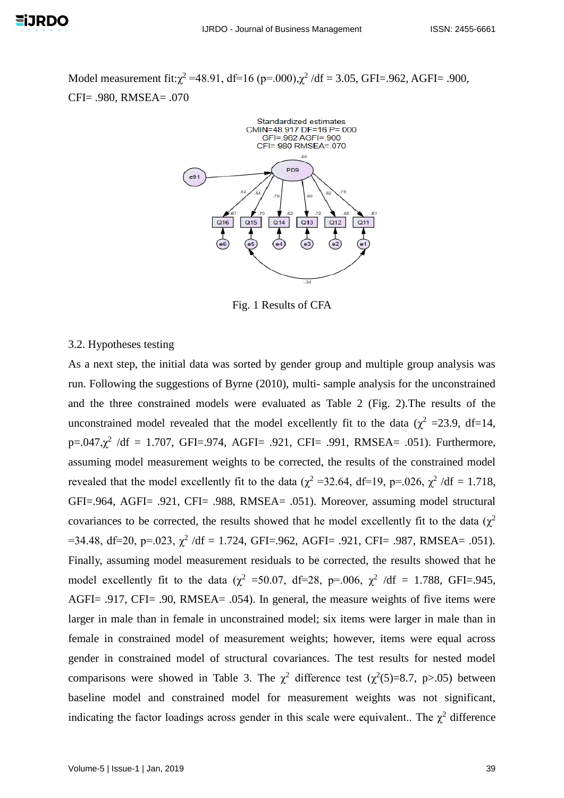Model measurement fit: $\chi^2$  =48.91, df=16 (p=.000), $\chi^2$ /df = 3.05, GFI=.962, AGFI= .900, CFI= .980, RMSEA= .070



Fig. 1 Results of CFA

#### 3.2. Hypotheses testing

As a next step, the initial data was sorted by gender group and multiple group analysis was run. Following the suggestions of Byrne (2010), multi- sample analysis for the unconstrained and the three constrained models were evaluated as Table 2 (Fig. 2).The results of the unconstrained model revealed that the model excellently fit to the data ( $\chi^2$  =23.9, df=14,  $p=.047,\chi^2$  /df = 1.707, GFI=.974, AGFI= .921, CFI= .991, RMSEA= .051). Furthermore, assuming model measurement weights to be corrected, the results of the constrained model revealed that the model excellently fit to the data ( $\chi^2$  =32.64, df=19, p=.026,  $\chi^2$  /df = 1.718, GFI=.964, AGFI= .921, CFI= .988, RMSEA= .051). Moreover, assuming model structural covariances to be corrected, the results showed that he model excellently fit to the data ( $\chi^2$  $=$ 34.48, df=20, p=.023,  $\chi^2$  /df = 1.724, GFI=.962, AGFI= .921, CFI= .987, RMSEA= .051). Finally, assuming model measurement residuals to be corrected, the results showed that he model excellently fit to the data ( $\chi^2$  =50.07, df=28, p=.006,  $\chi^2$  /df = 1.788, GFI=.945, AGFI= .917, CFI= .90, RMSEA= .054). In general, the measure weights of five items were larger in male than in female in unconstrained model; six items were larger in male than in female in constrained model of measurement weights; however, items were equal across gender in constrained model of structural covariances. The test results for nested model comparisons were showed in Table 3. The  $\chi^2$  difference test ( $\chi^2(5)=8.7$ , p>.05) between baseline model and constrained model for measurement weights was not significant, indicating the factor loadings across gender in this scale were equivalent.. The  $\chi^2$  difference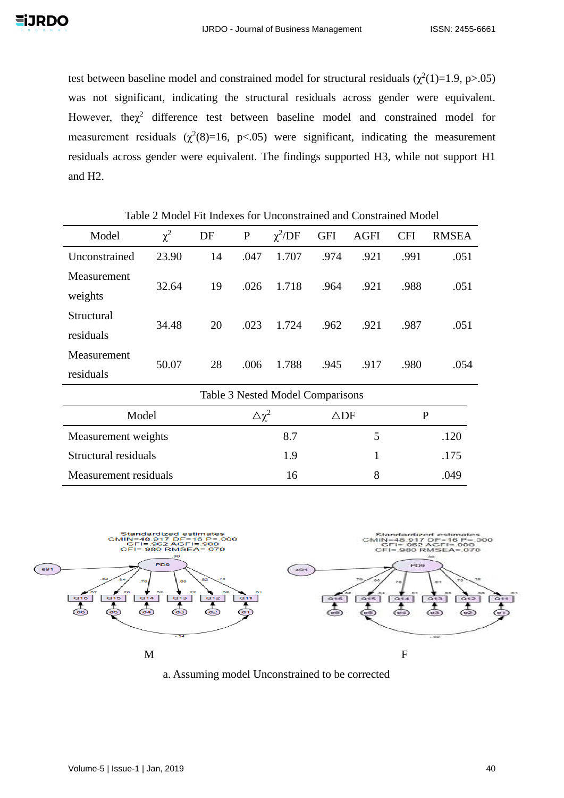test between baseline model and constrained model for structural residuals  $(\chi^2(1)=1.9, p>0.05)$ was not significant, indicating the structural residuals across gender were equivalent. However, the $\chi^2$  difference test between baseline model and constrained model for measurement residuals  $(\chi^2(8)=16, p<.05)$  were significant, indicating the measurement residuals across gender were equivalent. The findings supported H3, while not support H1 and H2.

Model  $\chi^2$ DF P  $\chi^2$ /DF GFI AGFI CFI RMSEA Unconstrained 23.90 14 .047 1.707 .974 .921 .991 .051 Measurement weights 32.64 19 .026 1.718 .964 .921 .988 .051 Structural residuals 34.48 20 .023 1.724 .962 .921 .987 .051 Measurement residuals 50.07 28 .006 1.788 .945 .917 .980 .054 Table 3 Nested Model Comparisons Model  $\Delta \chi^2$  $\triangle$ DF P Measurement weights 8.7 5 .120 Structural residuals 1.9 1 and 1.9 1 1.175 Measurement residuals 16 16 8 .049

Table 2 Model Fit Indexes for Unconstrained and Constrained Model



a. Assuming model Unconstrained to be corrected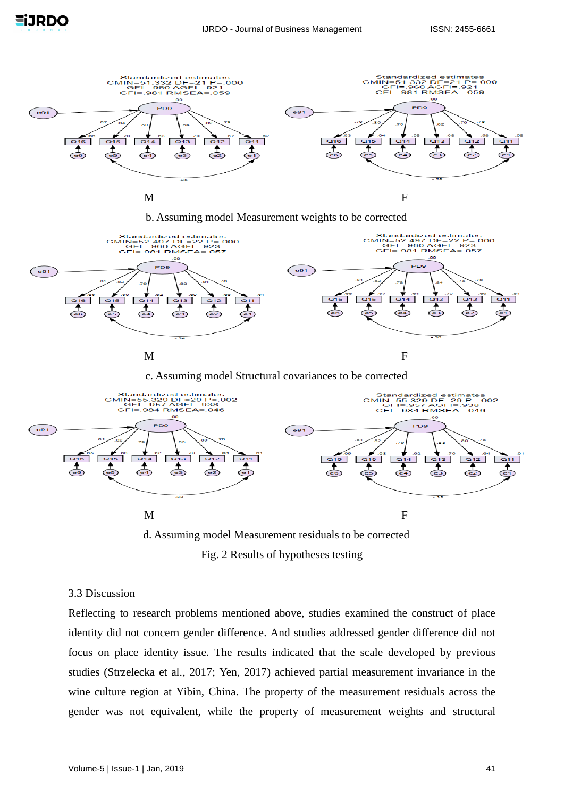

b. Assuming model Measurement weights to be corrected



c. Assuming model Structural covariances to be corrected



Fig. 2 Results of hypotheses testing

## 3.3 Discussion

Reflecting to research problems mentioned above, studies examined the construct of place identity did not concern gender difference. And studies addressed gender difference did not focus on place identity issue. The results indicated that the scale developed by previous studies (Strzelecka et al., 2017; Yen, 2017) achieved partial measurement invariance in the wine culture region at Yibin, China. The property of the measurement residuals across the gender was not equivalent, while the property of measurement weights and structural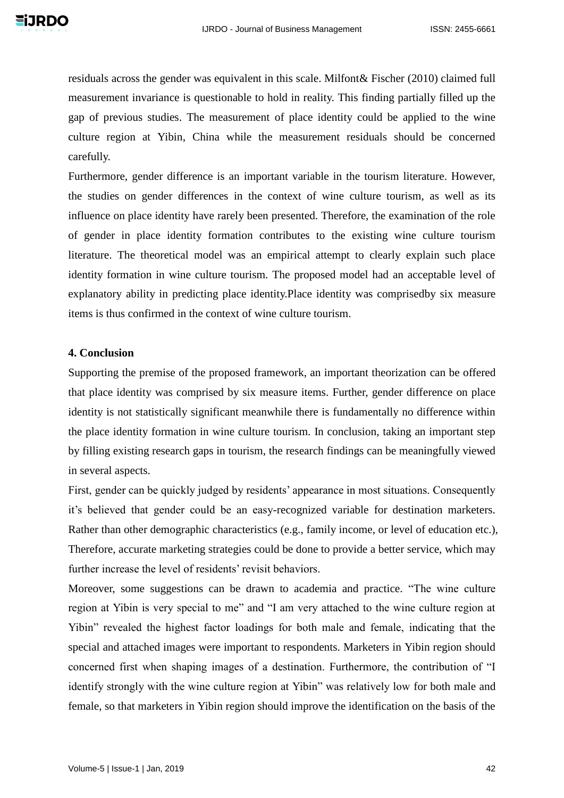residuals across the gender was equivalent in this scale. Milfont& Fischer (2010) claimed full measurement invariance is questionable to hold in reality. This finding partially filled up the gap of previous studies. The measurement of place identity could be applied to the wine culture region at Yibin, China while the measurement residuals should be concerned carefully.

Furthermore, gender difference is an important variable in the tourism literature. However, the studies on gender differences in the context of wine culture tourism, as well as its influence on place identity have rarely been presented. Therefore, the examination of the role of gender in place identity formation contributes to the existing wine culture tourism literature. The theoretical model was an empirical attempt to clearly explain such place identity formation in wine culture tourism. The proposed model had an acceptable level of explanatory ability in predicting place identity.Place identity was comprisedby six measure items is thus confirmed in the context of wine culture tourism.

#### **4. Conclusion**

Supporting the premise of the proposed framework, an important theorization can be offered that place identity was comprised by six measure items. Further, gender difference on place identity is not statistically significant meanwhile there is fundamentally no difference within the place identity formation in wine culture tourism. In conclusion, taking an important step by filling existing research gaps in tourism, the research findings can be meaningfully viewed in several aspects.

First, gender can be quickly judged by residents' appearance in most situations. Consequently it's believed that gender could be an easy-recognized variable for destination marketers. Rather than other demographic characteristics (e.g., family income, or level of education etc.), Therefore, accurate marketing strategies could be done to provide a better service, which may further increase the level of residents' revisit behaviors.

Moreover, some suggestions can be drawn to academia and practice. "The wine culture region at Yibin is very special to me" and "I am very attached to the wine culture region at Yibin" revealed the highest factor loadings for both male and female, indicating that the special and attached images were important to respondents. Marketers in Yibin region should concerned first when shaping images of a destination. Furthermore, the contribution of "I identify strongly with the wine culture region at Yibin" was relatively low for both male and female, so that marketers in Yibin region should improve the identification on the basis of the